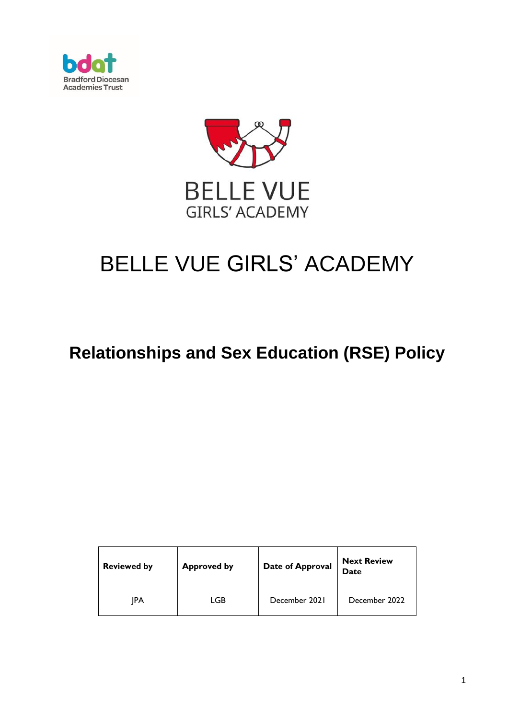



# BELLE VUE GIRLS' ACADEMY

## **Relationships and Sex Education (RSE) Policy**

| <b>Reviewed by</b> | <b>Approved by</b> | Date of Approval | <b>Next Review</b><br>Date |
|--------------------|--------------------|------------------|----------------------------|
| IPA                | LGB                | December 2021    | December 2022              |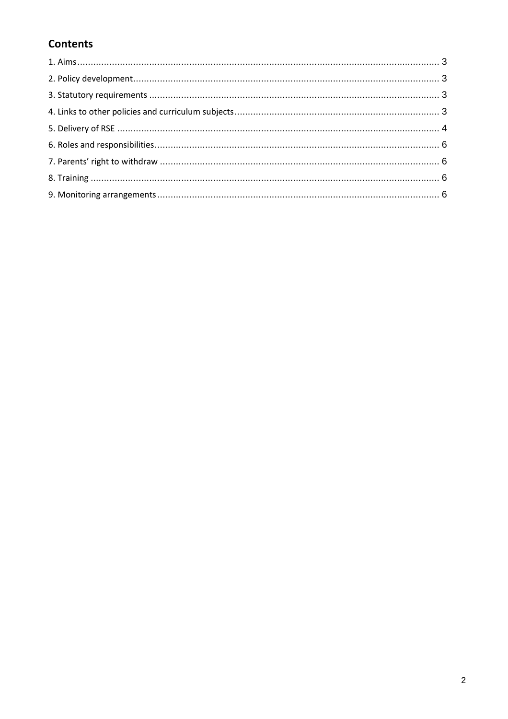### **Contents**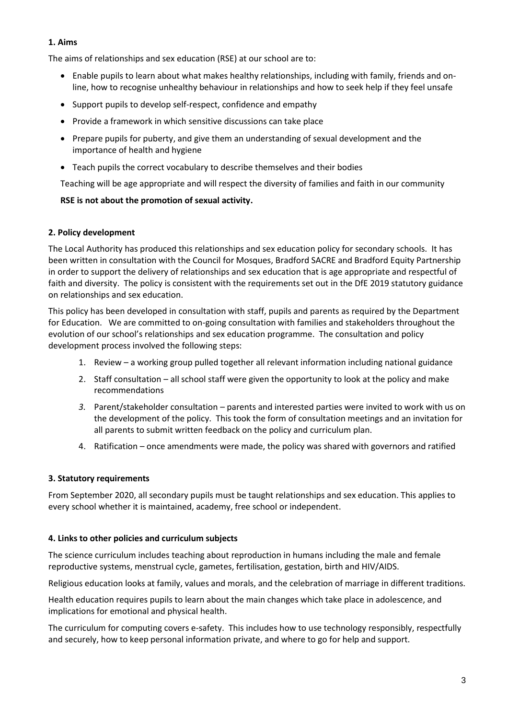#### **1. Aims**

The aims of relationships and sex education (RSE) at our school are to:

- Enable pupils to learn about what makes healthy relationships, including with family, friends and online, how to recognise unhealthy behaviour in relationships and how to seek help if they feel unsafe
- Support pupils to develop self-respect, confidence and empathy
- Provide a framework in which sensitive discussions can take place
- Prepare pupils for puberty, and give them an understanding of sexual development and the importance of health and hygiene
- Teach pupils the correct vocabulary to describe themselves and their bodies

Teaching will be age appropriate and will respect the diversity of families and faith in our community

#### **RSE is not about the promotion of sexual activity.**

#### **2. Policy development**

The Local Authority has produced this relationships and sex education policy for secondary schools. It has been written in consultation with the Council for Mosques, Bradford SACRE and Bradford Equity Partnership in order to support the delivery of relationships and sex education that is age appropriate and respectful of faith and diversity. The policy is consistent with the requirements set out in the DfE 2019 statutory guidance on relationships and sex education.

This policy has been developed in consultation with staff, pupils and parents as required by the Department for Education. We are committed to on-going consultation with families and stakeholders throughout the evolution of our school's relationships and sex education programme. The consultation and policy development process involved the following steps:

- 1. Review a working group pulled together all relevant information including national guidance
- 2. Staff consultation all school staff were given the opportunity to look at the policy and make recommendations
- *3.* Parent/stakeholder consultation parents and interested parties were invited to work with us on the development of the policy. This took the form of consultation meetings and an invitation for all parents to submit written feedback on the policy and curriculum plan.
- 4. Ratification once amendments were made, the policy was shared with governors and ratified

#### **3. Statutory requirements**

From September 2020, all secondary pupils must be taught relationships and sex education. This applies to every school whether it is maintained, academy, free school or independent.

#### **4. Links to other policies and curriculum subjects**

The science curriculum includes teaching about reproduction in humans including the male and female reproductive systems, menstrual cycle, gametes, fertilisation, gestation, birth and HIV/AIDS.

Religious education looks at family, values and morals, and the celebration of marriage in different traditions.

Health education requires pupils to learn about the main changes which take place in adolescence, and implications for emotional and physical health.

The curriculum for computing covers e-safety. This includes how to use technology responsibly, respectfully and securely, how to keep personal information private, and where to go for help and support.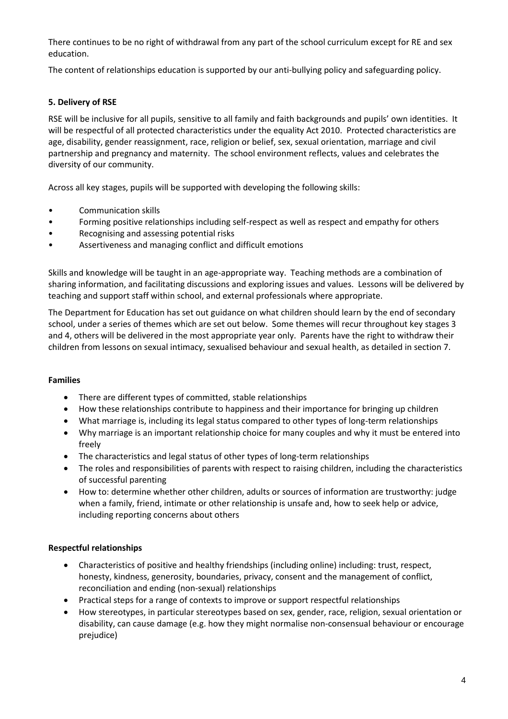There continues to be no right of withdrawal from any part of the school curriculum except for RE and sex education.

The content of relationships education is supported by our anti-bullying policy and safeguarding policy.

#### **5. Delivery of RSE**

RSE will be inclusive for all pupils, sensitive to all family and faith backgrounds and pupils' own identities. It will be respectful of all protected characteristics under the equality Act 2010. Protected characteristics are age, disability, gender reassignment, race, religion or belief, sex, sexual orientation, marriage and civil partnership and pregnancy and maternity. The school environment reflects, values and celebrates the diversity of our community.

Across all key stages, pupils will be supported with developing the following skills:

- Communication skills
- Forming positive relationships including self-respect as well as respect and empathy for others
- Recognising and assessing potential risks
- Assertiveness and managing conflict and difficult emotions

Skills and knowledge will be taught in an age-appropriate way. Teaching methods are a combination of sharing information, and facilitating discussions and exploring issues and values. Lessons will be delivered by teaching and support staff within school, and external professionals where appropriate.

The Department for Education has set out guidance on what children should learn by the end of secondary school, under a series of themes which are set out below. Some themes will recur throughout key stages 3 and 4, others will be delivered in the most appropriate year only. Parents have the right to withdraw their children from lessons on sexual intimacy, sexualised behaviour and sexual health, as detailed in section 7.

#### **Families**

- There are different types of committed, stable relationships
- How these relationships contribute to happiness and their importance for bringing up children
- What marriage is, including its legal status compared to other types of long-term relationships
- Why marriage is an important relationship choice for many couples and why it must be entered into freely
- The characteristics and legal status of other types of long-term relationships
- The roles and responsibilities of parents with respect to raising children, including the characteristics of successful parenting
- How to: determine whether other children, adults or sources of information are trustworthy: judge when a family, friend, intimate or other relationship is unsafe and, how to seek help or advice, including reporting concerns about others

#### **Respectful relationships**

- Characteristics of positive and healthy friendships (including online) including: trust, respect, honesty, kindness, generosity, boundaries, privacy, consent and the management of conflict, reconciliation and ending (non-sexual) relationships
- Practical steps for a range of contexts to improve or support respectful relationships
- How stereotypes, in particular stereotypes based on sex, gender, race, religion, sexual orientation or disability, can cause damage (e.g. how they might normalise non-consensual behaviour or encourage prejudice)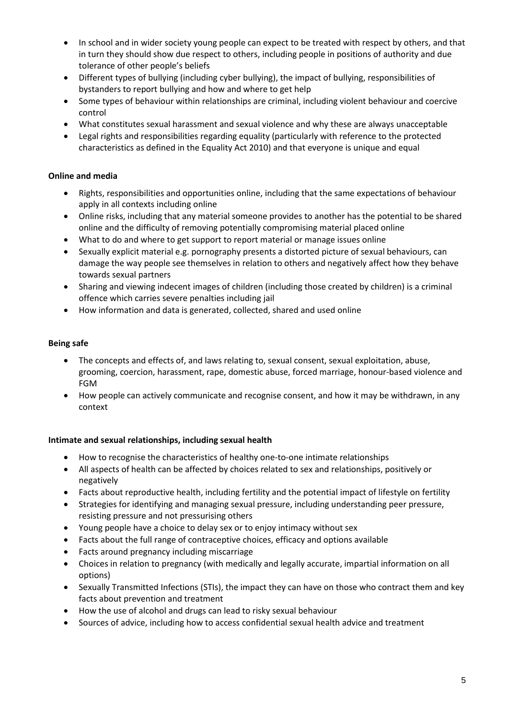- In school and in wider society young people can expect to be treated with respect by others, and that in turn they should show due respect to others, including people in positions of authority and due tolerance of other people's beliefs
- Different types of bullying (including cyber bullying), the impact of bullying, responsibilities of bystanders to report bullying and how and where to get help
- Some types of behaviour within relationships are criminal, including violent behaviour and coercive control
- What constitutes sexual harassment and sexual violence and why these are always unacceptable
- Legal rights and responsibilities regarding equality (particularly with reference to the protected characteristics as defined in the Equality Act 2010) and that everyone is unique and equal

#### **Online and media**

- Rights, responsibilities and opportunities online, including that the same expectations of behaviour apply in all contexts including online
- Online risks, including that any material someone provides to another has the potential to be shared online and the difficulty of removing potentially compromising material placed online
- What to do and where to get support to report material or manage issues online
- Sexually explicit material e.g. pornography presents a distorted picture of sexual behaviours, can damage the way people see themselves in relation to others and negatively affect how they behave towards sexual partners
- Sharing and viewing indecent images of children (including those created by children) is a criminal offence which carries severe penalties including jail
- How information and data is generated, collected, shared and used online

#### **Being safe**

- The concepts and effects of, and laws relating to, sexual consent, sexual exploitation, abuse, grooming, coercion, harassment, rape, domestic abuse, forced marriage, honour-based violence and FGM
- How people can actively communicate and recognise consent, and how it may be withdrawn, in any context

#### **Intimate and sexual relationships, including sexual health**

- How to recognise the characteristics of healthy one-to-one intimate relationships
- All aspects of health can be affected by choices related to sex and relationships, positively or negatively
- Facts about reproductive health, including fertility and the potential impact of lifestyle on fertility
- Strategies for identifying and managing sexual pressure, including understanding peer pressure, resisting pressure and not pressurising others
- Young people have a choice to delay sex or to enjoy intimacy without sex
- Facts about the full range of contraceptive choices, efficacy and options available
- Facts around pregnancy including miscarriage
- Choices in relation to pregnancy (with medically and legally accurate, impartial information on all options)
- Sexually Transmitted Infections (STIs), the impact they can have on those who contract them and key facts about prevention and treatment
- How the use of alcohol and drugs can lead to risky sexual behaviour
- Sources of advice, including how to access confidential sexual health advice and treatment